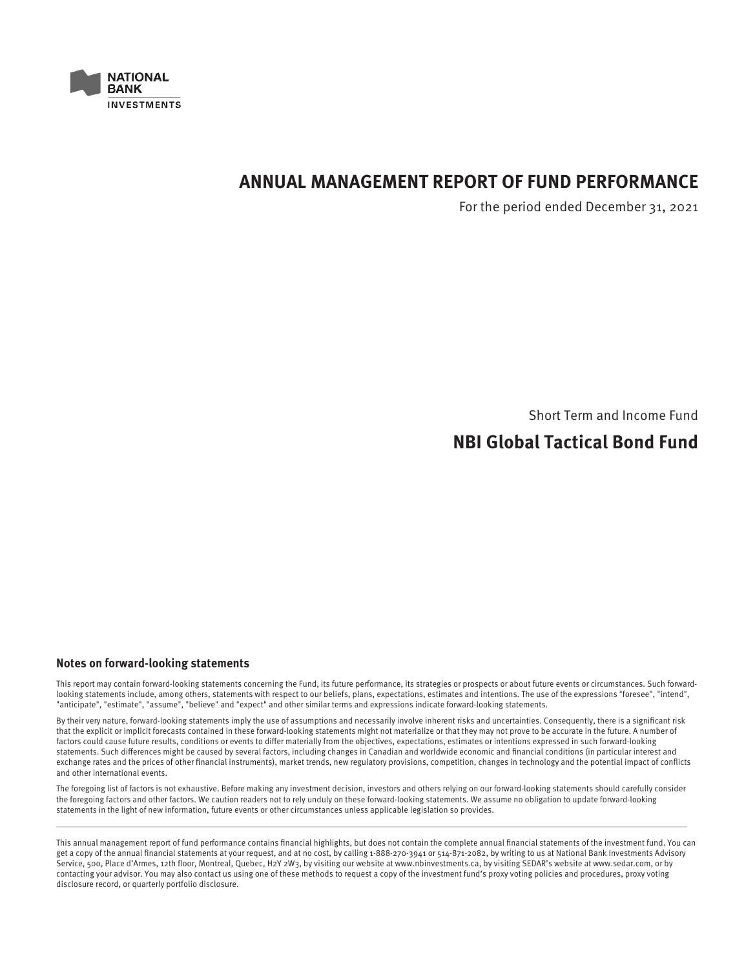

# **ANNUAL MANAGEMENT REPORT OF FUND PERFORMANCE**

For the period ended December 31, 2021

Short Term and Income Fund

# **NBI Global Tactical Bond Fund**

## **Notes on forward-looking statements**

This report may contain forward-looking statements concerning the Fund, its future performance, its strategies or prospects or about future events or circumstances. Such forwardlooking statements include, among others, statements with respect to our beliefs, plans, expectations, estimates and intentions. The use of the expressions "foresee", "intend", "anticipate", "estimate", "assume", "believe" and "expect" and other similar terms and expressions indicate forward-looking statements.

By their very nature, forward-looking statements imply the use of assumptions and necessarily involve inherent risks and uncertainties. Consequently, there is a significant risk that the explicit or implicit forecasts contained in these forward-looking statements might not materialize or that they may not prove to be accurate in the future. A number of factors could cause future results, conditions or events to differ materially from the objectives, expectations, estimates or intentions expressed in such forward-looking statements. Such differences might be caused by several factors, including changes in Canadian and worldwide economic and financial conditions (in particular interest and exchange rates and the prices of other financial instruments), market trends, new regulatory provisions, competition, changes in technology and the potential impact of conflicts and other international events.

The foregoing list of factors is not exhaustive. Before making any investment decision, investors and others relying on our forward-looking statements should carefully consider the foregoing factors and other factors. We caution readers not to rely unduly on these forward-looking statements. We assume no obligation to update forward-looking statements in the light of new information, future events or other circumstances unless applicable legislation so provides.

This annual management report of fund performance contains financial highlights, but does not contain the complete annual financial statements of the investment fund. You can get a copy of the annual financial statements at your request, and at no cost, by calling 1-888-270-3941 or 514-871-2082, by writing to us at National Bank Investments Advisory Service, 500, Place d'Armes, 12th floor, Montreal, Quebec, H2Y 2W3, by visiting our website at www.nbinvestments.ca, by visiting SEDAR's website at www.sedar.com, or by contacting your advisor. You may also contact us using one of these methods to request a copy of the investment fund's proxy voting policies and procedures, proxy voting disclosure record, or quarterly portfolio disclosure.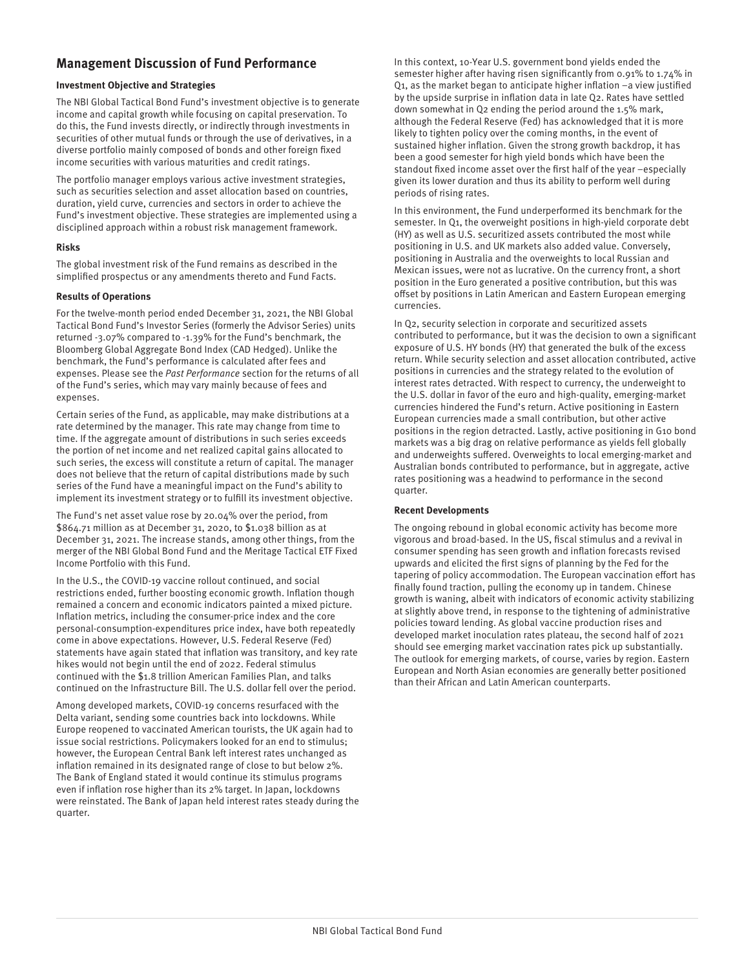## **Management Discussion of Fund Performance**

#### **Investment Objective and Strategies**

The NBI Global Tactical Bond Fund's investment objective is to generate income and capital growth while focusing on capital preservation. To do this, the Fund invests directly, or indirectly through investments in securities of other mutual funds or through the use of derivatives, in a diverse portfolio mainly composed of bonds and other foreign fixed income securities with various maturities and credit ratings.

The portfolio manager employs various active investment strategies, such as securities selection and asset allocation based on countries, duration, yield curve, currencies and sectors in order to achieve the Fund's investment objective. These strategies are implemented using a disciplined approach within a robust risk management framework.

#### **Risks**

The global investment risk of the Fund remains as described in the simplified prospectus or any amendments thereto and Fund Facts.

#### **Results of Operations**

For the twelve-month period ended December 31, 2021, the NBI Global Tactical Bond Fund's Investor Series (formerly the Advisor Series) units returned -3.07% compared to -1.39% for the Fund's benchmark, the Bloomberg Global Aggregate Bond Index (CAD Hedged). Unlike the benchmark, the Fund's performance is calculated after fees and expenses. Please see the Past Performance section for the returns of all of the Fund's series, which may vary mainly because of fees and expenses.

Certain series of the Fund, as applicable, may make distributions at a rate determined by the manager. This rate may change from time to time. If the aggregate amount of distributions in such series exceeds the portion of net income and net realized capital gains allocated to such series, the excess will constitute a return of capital. The manager does not believe that the return of capital distributions made by such series of the Fund have a meaningful impact on the Fund's ability to implement its investment strategy or to fulfill its investment objective.

The Fund's net asset value rose by 20.04% over the period, from \$864.71 million as at December 31, 2020, to \$1.038 billion as at December 31, 2021. The increase stands, among other things, from the merger of the NBI Global Bond Fund and the Meritage Tactical ETF Fixed Income Portfolio with this Fund.

In the U.S., the COVID-19 vaccine rollout continued, and social restrictions ended, further boosting economic growth. Inflation though remained a concern and economic indicators painted a mixed picture. Inflation metrics, including the consumer-price index and the core personal-consumption-expenditures price index, have both repeatedly come in above expectations. However, U.S. Federal Reserve (Fed) statements have again stated that inflation was transitory, and key rate hikes would not begin until the end of 2022. Federal stimulus continued with the \$1.8 trillion American Families Plan, and talks continued on the Infrastructure Bill. The U.S. dollar fell over the period.

Among developed markets, COVID-19 concerns resurfaced with the Delta variant, sending some countries back into lockdowns. While Europe reopened to vaccinated American tourists, the UK again had to issue social restrictions. Policymakers looked for an end to stimulus; however, the European Central Bank left interest rates unchanged as inflation remained in its designated range of close to but below 2%. The Bank of England stated it would continue its stimulus programs even if inflation rose higher than its 2% target. In Japan, lockdowns were reinstated. The Bank of Japan held interest rates steady during the quarter.

In this context, 10-Year U.S. government bond yields ended the semester higher after having risen significantly from 0.91% to 1.74% in Q1, as the market began to anticipate higher inflation –a view justified by the upside surprise in inflation data in late Q2. Rates have settled down somewhat in Q2 ending the period around the 1.5% mark, although the Federal Reserve (Fed) has acknowledged that it is more likely to tighten policy over the coming months, in the event of sustained higher inflation. Given the strong growth backdrop, it has been a good semester for high yield bonds which have been the standout fixed income asset over the first half of the year –especially given its lower duration and thus its ability to perform well during periods of rising rates.

In this environment, the Fund underperformed its benchmark for the semester. In Q1, the overweight positions in high-yield corporate debt (HY) as well as U.S. securitized assets contributed the most while positioning in U.S. and UK markets also added value. Conversely, positioning in Australia and the overweights to local Russian and Mexican issues, were not as lucrative. On the currency front, a short position in the Euro generated a positive contribution, but this was offset by positions in Latin American and Eastern European emerging currencies.

In Q2, security selection in corporate and securitized assets contributed to performance, but it was the decision to own a significant exposure of U.S. HY bonds (HY) that generated the bulk of the excess return. While security selection and asset allocation contributed, active positions in currencies and the strategy related to the evolution of interest rates detracted. With respect to currency, the underweight to the U.S. dollar in favor of the euro and high-quality, emerging-market currencies hindered the Fund's return. Active positioning in Eastern European currencies made a small contribution, but other active positions in the region detracted. Lastly, active positioning in G10 bond markets was a big drag on relative performance as yields fell globally and underweights suffered. Overweights to local emerging-market and Australian bonds contributed to performance, but in aggregate, active rates positioning was a headwind to performance in the second quarter.

#### **Recent Developments**

The ongoing rebound in global economic activity has become more vigorous and broad-based. In the US, fiscal stimulus and a revival in consumer spending has seen growth and inflation forecasts revised upwards and elicited the first signs of planning by the Fed for the tapering of policy accommodation. The European vaccination effort has finally found traction, pulling the economy up in tandem. Chinese growth is waning, albeit with indicators of economic activity stabilizing at slightly above trend, in response to the tightening of administrative policies toward lending. As global vaccine production rises and developed market inoculation rates plateau, the second half of 2021 should see emerging market vaccination rates pick up substantially. The outlook for emerging markets, of course, varies by region. Eastern European and North Asian economies are generally better positioned than their African and Latin American counterparts.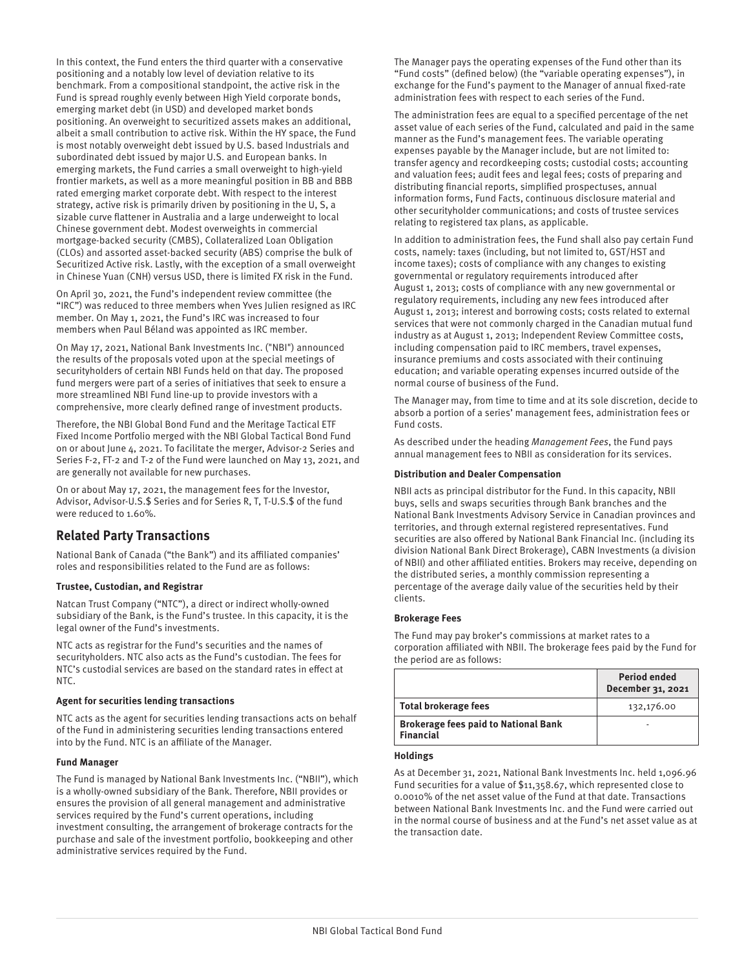In this context, the Fund enters the third quarter with a conservative positioning and a notably low level of deviation relative to its benchmark. From a compositional standpoint, the active risk in the Fund is spread roughly evenly between High Yield corporate bonds, emerging market debt (in USD) and developed market bonds positioning. An overweight to securitized assets makes an additional, albeit a small contribution to active risk. Within the HY space, the Fund is most notably overweight debt issued by U.S. based Industrials and subordinated debt issued by major U.S. and European banks. In emerging markets, the Fund carries a small overweight to high-yield frontier markets, as well as a more meaningful position in BB and BBB rated emerging market corporate debt. With respect to the interest strategy, active risk is primarily driven by positioning in the U, S, a sizable curve flattener in Australia and a large underweight to local Chinese government debt. Modest overweights in commercial mortgage-backed security (CMBS), Collateralized Loan Obligation (CLOs) and assorted asset-backed security (ABS) comprise the bulk of Securitized Active risk. Lastly, with the exception of a small overweight in Chinese Yuan (CNH) versus USD, there is limited FX risk in the Fund.

On April 30, 2021, the Fund's independent review committee (the "IRC") was reduced to three members when Yves Julien resigned as IRC member. On May 1, 2021, the Fund's IRC was increased to four members when Paul Béland was appointed as IRC member.

On May 17, 2021, National Bank Investments Inc. ("NBI") announced the results of the proposals voted upon at the special meetings of securityholders of certain NBI Funds held on that day. The proposed fund mergers were part of a series of initiatives that seek to ensure a more streamlined NBI Fund line-up to provide investors with a comprehensive, more clearly defined range of investment products.

Therefore, the NBI Global Bond Fund and the Meritage Tactical ETF Fixed Income Portfolio merged with the NBI Global Tactical Bond Fund on or about June 4, 2021. To facilitate the merger, Advisor-2 Series and Series F-2, FT-2 and T-2 of the Fund were launched on May 13, 2021, and are generally not available for new purchases.

On or about May 17, 2021, the management fees for the Investor, Advisor, Advisor-U.S.\$ Series and for Series R, T, T-U.S.\$ of the fund were reduced to 1.60%.

## **Related Party Transactions**

National Bank of Canada ("the Bank") and its affiliated companies' roles and responsibilities related to the Fund are as follows:

#### **Trustee, Custodian, and Registrar**

Natcan Trust Company ("NTC"), a direct or indirect wholly-owned subsidiary of the Bank, is the Fund's trustee. In this capacity, it is the legal owner of the Fund's investments.

NTC acts as registrar for the Fund's securities and the names of securityholders. NTC also acts as the Fund's custodian. The fees for NTC's custodial services are based on the standard rates in effect at NTC.

#### **Agent for securities lending transactions**

NTC acts as the agent for securities lending transactions acts on behalf of the Fund in administering securities lending transactions entered into by the Fund. NTC is an affiliate of the Manager.

#### **Fund Manager**

The Fund is managed by National Bank Investments Inc. ("NBII"), which is a wholly-owned subsidiary of the Bank. Therefore, NBII provides or ensures the provision of all general management and administrative services required by the Fund's current operations, including investment consulting, the arrangement of brokerage contracts for the purchase and sale of the investment portfolio, bookkeeping and other administrative services required by the Fund.

The Manager pays the operating expenses of the Fund other than its "Fund costs" (defined below) (the "variable operating expenses"), in exchange for the Fund's payment to the Manager of annual fixed-rate administration fees with respect to each series of the Fund.

The administration fees are equal to a specified percentage of the net asset value of each series of the Fund, calculated and paid in the same manner as the Fund's management fees. The variable operating expenses payable by the Manager include, but are not limited to: transfer agency and recordkeeping costs; custodial costs; accounting and valuation fees; audit fees and legal fees; costs of preparing and distributing financial reports, simplified prospectuses, annual information forms, Fund Facts, continuous disclosure material and other securityholder communications; and costs of trustee services relating to registered tax plans, as applicable.

In addition to administration fees, the Fund shall also pay certain Fund costs, namely: taxes (including, but not limited to, GST/HST and income taxes); costs of compliance with any changes to existing governmental or regulatory requirements introduced after August 1, 2013; costs of compliance with any new governmental or regulatory requirements, including any new fees introduced after August 1, 2013; interest and borrowing costs; costs related to external services that were not commonly charged in the Canadian mutual fund industry as at August 1, 2013; Independent Review Committee costs, including compensation paid to IRC members, travel expenses, insurance premiums and costs associated with their continuing education; and variable operating expenses incurred outside of the normal course of business of the Fund.

The Manager may, from time to time and at its sole discretion, decide to absorb a portion of a series' management fees, administration fees or Fund costs.

As described under the heading Management Fees, the Fund pays annual management fees to NBII as consideration for its services.

#### **Distribution and Dealer Compensation**

NBII acts as principal distributor for the Fund. In this capacity, NBII buys, sells and swaps securities through Bank branches and the National Bank Investments Advisory Service in Canadian provinces and territories, and through external registered representatives. Fund securities are also offered by National Bank Financial Inc. (including its division National Bank Direct Brokerage), CABN Investments (a division of NBII) and other affiliated entities. Brokers may receive, depending on the distributed series, a monthly commission representing a percentage of the average daily value of the securities held by their clients.

#### **Brokerage Fees**

The Fund may pay broker's commissions at market rates to a corporation affiliated with NBII. The brokerage fees paid by the Fund for the period are as follows:

|                                                                 | <b>Period ended</b><br>December 31, 2021 |
|-----------------------------------------------------------------|------------------------------------------|
| <b>Total brokerage fees</b>                                     | 132,176.00                               |
| <b>Brokerage fees paid to National Bank</b><br><b>Financial</b> |                                          |

#### **Holdings**

As at December 31, 2021, National Bank Investments Inc. held 1,096.96 Fund securities for a value of \$11,358.67, which represented close to 0.0010% of the net asset value of the Fund at that date. Transactions between National Bank Investments Inc. and the Fund were carried out in the normal course of business and at the Fund's net asset value as at the transaction date.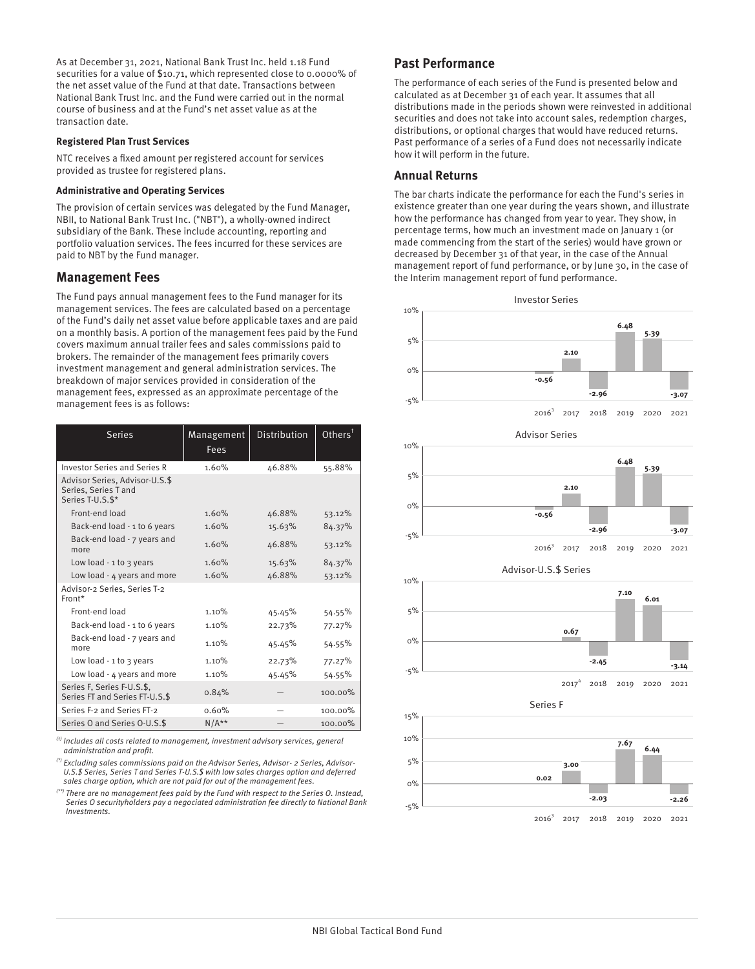As at December 31, 2021, National Bank Trust Inc. held 1.18 Fund securities for a value of \$10.71, which represented close to 0.0000% of the net asset value of the Fund at that date. Transactions between National Bank Trust Inc. and the Fund were carried out in the normal course of business and at the Fund's net asset value as at the transaction date.

#### **Registered Plan Trust Services**

NTC receives a fixed amount per registered account for services provided as trustee for registered plans.

#### **Administrative and Operating Services**

The provision of certain services was delegated by the Fund Manager, NBII, to National Bank Trust Inc. ("NBT"), a wholly-owned indirect subsidiary of the Bank. These include accounting, reporting and portfolio valuation services. The fees incurred for these services are paid to NBT by the Fund manager.

## **Management Fees**

The Fund pays annual management fees to the Fund manager for its management services. The fees are calculated based on a percentage of the Fund's daily net asset value before applicable taxes and are paid on a monthly basis. A portion of the management fees paid by the Fund covers maximum annual trailer fees and sales commissions paid to brokers. The remainder of the management fees primarily covers investment management and general administration services. The breakdown of major services provided in consideration of the management fees, expressed as an approximate percentage of the management fees is as follows:

| <b>Series</b>                                                              | Management<br><b>Fees</b> | <b>Distribution</b> | $Other$ s $†$ |
|----------------------------------------------------------------------------|---------------------------|---------------------|---------------|
| <b>Investor Series and Series R</b>                                        | 1.60%                     | 46.88%              | 55.88%        |
| Advisor Series, Advisor-U.S.\$<br>Series, Series T and<br>Series T-U.S.\$* |                           |                     |               |
| Front-end load                                                             | 1.60%                     | 46.88%              | 53.12%        |
| Back-end load - 1 to 6 years                                               | 1.60%                     | 15.63%              | 84.37%        |
| Back-end load - 7 years and<br>more                                        | 1.60%                     | 46.88%              | 53.12%        |
| Low load - $1$ to $3$ years                                                | 1.60%                     | 15.63%              | 84.37%        |
| Low load - 4 years and more                                                | 1.60%                     | 46.88%              | 53.12%        |
| Advisor-2 Series, Series T-2<br>Front*                                     |                           |                     |               |
| Front-end load                                                             | 1.10%                     | 45.45%              | 54.55%        |
| Back-end load - 1 to 6 years                                               | 1.10%                     | 22.73%              | 77.27%        |
| Back-end load - 7 years and<br>more                                        | 1.10%                     | 45.45%              | 54.55%        |
| Low load $-1$ to 3 years                                                   | 1.10%                     | 22.73%              | 77.27%        |
| Low load - 4 years and more                                                | 1.10%                     | 45.45%              | 54.55%        |
| Series F, Series F-U.S.\$,<br>Series FT and Series FT-U.S.\$               | 0.84%                     |                     | $100.00\%$    |
| Series F-2 and Series FT-2                                                 | 0.60%                     |                     | 100.00%       |
| Series O and Series O-U.S.\$                                               | $N/A**$                   |                     | $100.00\%$    |

 $<sup>(t)</sup>$  Includes all costs related to management, investment advisory services, general</sup> administration and profit.

(\*) Excluding sales commissions paid on the Advisor Series, Advisor- 2 Series, Advisor-U.S.\$ Series, Series T and Series T-U.S.\$ with low sales charges option and deferred sales charge option, which are not paid for out of the management fees.

(\*\*) There are no management fees paid by the Fund with respect to the Series O. Instead, Series O securityholders pay a negociated administration fee directly to National Bank Investments.

## **Past Performance**

The performance of each series of the Fund is presented below and calculated as at December 31 of each year. It assumes that all distributions made in the periods shown were reinvested in additional securities and does not take into account sales, redemption charges, distributions, or optional charges that would have reduced returns. Past performance of a series of a Fund does not necessarily indicate how it will perform in the future.

## **Annual Returns**

The bar charts indicate the performance for each the Fund's series in existence greater than one year during the years shown, and illustrate how the performance has changed from year to year. They show, in percentage terms, how much an investment made on January 1 (or made commencing from the start of the series) would have grown or decreased by December 31 of that year, in the case of the Annual management report of fund performance, or by June 30, in the case of the Interim management report of fund performance.

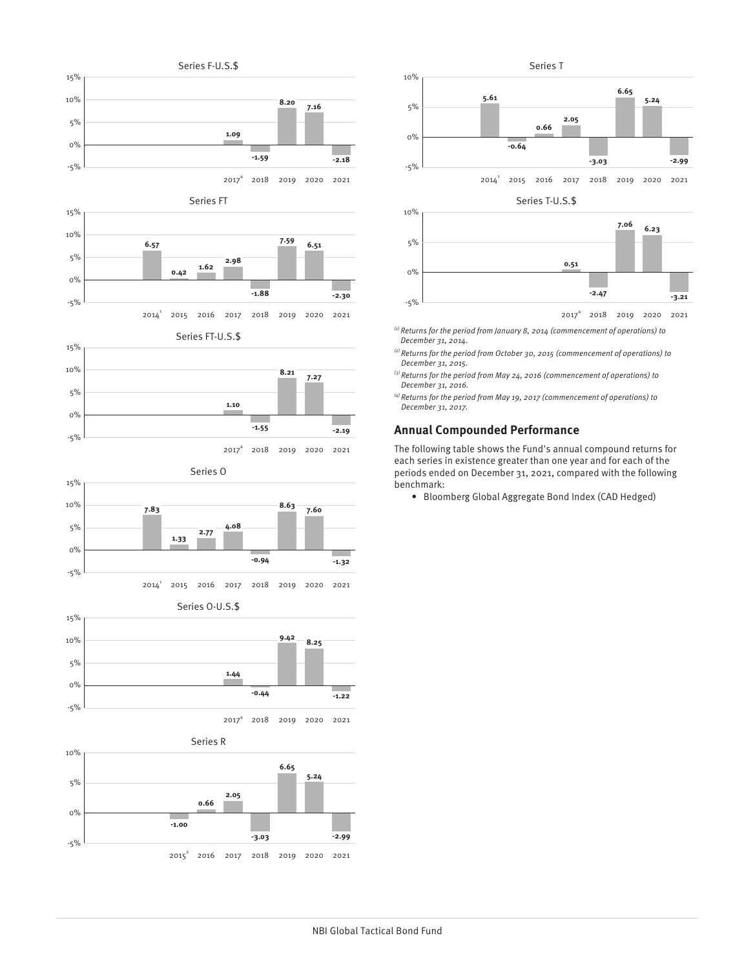

2014 2015 2016 2017 2018 2019 2020 2021  $2014^1$ 

**-1.88**

**-2.30**



-5%



Series O



Series O-U.S.\$



Series R







2017 2018 2019 2020 2021 4

 $\overset{\text{\tiny{(i)}}}{ }$  Returns for the period from January 8, 2014 (commencement of operations) to December 31, 2014.

- $^{(2)}$  Returns for the period from October 30, 2015 (commencement of operations) to December 31, 2015.
- $^{(3)}$  Returns for the period from May 24, 2016 (commencement of operations) to December 31, 2016.
- $^{(4)}$  Returns for the period from May 19, 2017 (commencement of operations) to December 31, 2017.

## **Annual Compounded Performance**

The following table shows the Fund's annual compound returns for each series in existence greater than one year and for each of the periods ended on December 31, 2021, compared with the following benchmark:

• Bloomberg Global Aggregate Bond Index (CAD Hedged)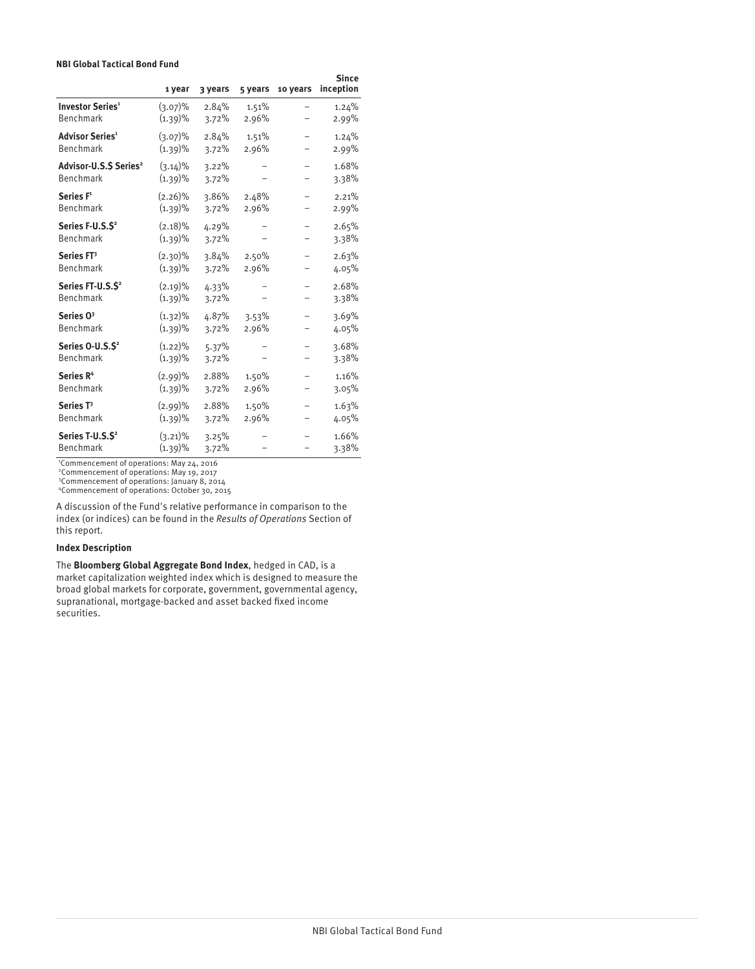#### **NBI Global Tactical Bond Fund**

|                                                | 1 year                   | 3 years        | 5 years | 10 years                 | Since<br>inception |
|------------------------------------------------|--------------------------|----------------|---------|--------------------------|--------------------|
| <b>Investor Series<sup>1</sup></b>             | $(3.07)\%$               | 2.84%          | 1.51%   |                          | 1.24%              |
| Benchmark                                      | $(1.39)\%$               | 3.72%          | 2.96%   |                          | 2.99%              |
| <b>Advisor Series<sup>1</sup></b>              | (3.07)%                  | 2.84%          | 1.51%   | $\overline{\phantom{0}}$ | 1.24%              |
| Benchmark                                      | (1.39)%                  | 3.72%          | 2.96%   |                          | 2.99%              |
| Advisor-U.S.S Series <sup>2</sup><br>Benchmark | $(3.14)\%$<br>$(1.39)\%$ | 3.22%<br>3.72% |         |                          | 1.68%<br>3.38%     |
| Series F <sup>1</sup>                          | $(2.26)\%$               | 3.86%          | 2.48%   |                          | 2.21%              |
| Benchmark                                      | (1.39)%                  | 3.72%          | 2.96%   |                          | 2.99%              |
| Series F-U.S.S <sup>2</sup><br>Benchmark       | $(2.18)\%$<br>$(1.39)\%$ | 4.29%<br>3.72% |         |                          | 2.65%<br>3.38%     |
| Series FT <sup>3</sup>                         | $(2.30)\%$               | 3.84%          | 2.50%   | -                        | 2.63%              |
| Benchmark                                      | $(1.39)\%$               | 3.72%          | 2.96%   |                          | 4.05%              |
| Series FT-U.S.S <sup>2</sup><br>Benchmark      | $(2.19)\%$<br>$(1.39)\%$ | 4.33%<br>3.72% |         |                          | 2.68%<br>3.38%     |
| Series 0 <sup>3</sup>                          | $(1.32)\%$               | 4.87%          | 3.53%   |                          | 3.69%              |
| Benchmark                                      | $(1.39)\%$               | 3.72%          | 2.96%   |                          | 4.05%              |
| Series 0-U.S.S <sup>2</sup><br>Benchmark       | $(1.22)\%$<br>$(1.39)\%$ | 5.37%<br>3.72% |         |                          | 3.68%<br>3.38%     |
| Series R <sup>4</sup>                          | $(2.99)\%$               | 2.88%          | 1.50%   |                          | 1.16%              |
| Benchmark                                      | $(1.39)\%$               | 3.72%          | 2.96%   |                          | 3.05%              |
| Series <sub>T3</sub>                           | $(2.99)\%$               | 2.88%          | 1.50%   |                          | 1.63%              |
| Benchmark                                      | (1.39)%                  | 3.72%          | 2.96%   |                          | 4.05%              |
| Series T-U.S.S <sup>2</sup><br>Benchmark       | $(3.21)\%$<br>$(1.39)\%$ | 3.25%<br>3.72% |         |                          | 1.66%<br>3.38%     |

<sup>1</sup>Commencement of operations: May 24, 2016

<sup>2</sup>Commencement of operations: May 19, 2017 <sup>3</sup>Commencement of operations: January 8, 2014

<sup>4</sup>Commencement of operations: October 30, 2015

A discussion of the Fund's relative performance in comparison to the index (or indices) can be found in the Results of Operations Section of this report.

#### **Index Description**

The **Bloomberg Global Aggregate Bond Index**, hedged in CAD, is a market capitalization weighted index which is designed to measure the broad global markets for corporate, government, governmental agency, supranational, mortgage-backed and asset backed fixed income securities.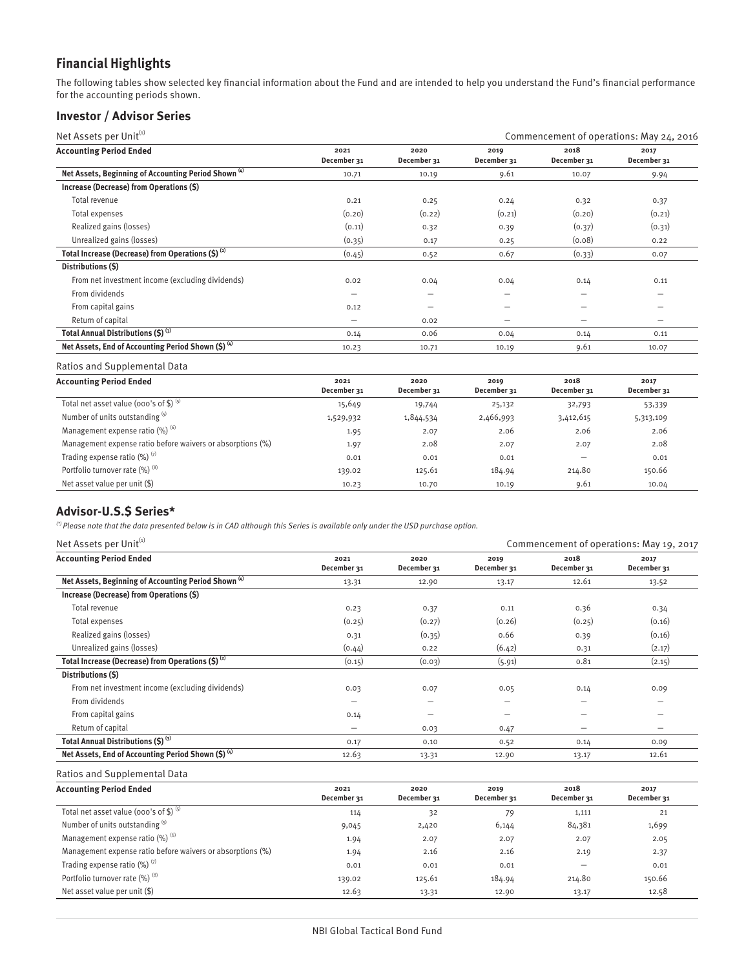## **Financial Highlights**

The following tables show selected key financial information about the Fund and are intended to help you understand the Fund's financial performance for the accounting periods shown.

## **Investor / Advisor Series**

| Net Assets per Unit <sup>(1)</sup>                              |                          |                     | Commencement of operations: May 24, 2016 |                     |                                                                           |  |
|-----------------------------------------------------------------|--------------------------|---------------------|------------------------------------------|---------------------|---------------------------------------------------------------------------|--|
| <b>Accounting Period Ended</b>                                  | 2021<br>December 31      | 2020<br>December 31 | 2019<br>December 31                      | 2018<br>December 31 | 2017<br>December 31                                                       |  |
| Net Assets, Beginning of Accounting Period Shown <sup>(4)</sup> | 10.71                    | 10.19               | 9.61                                     | 10.07               | 9.94                                                                      |  |
| Increase (Decrease) from Operations (\$)                        |                          |                     |                                          |                     |                                                                           |  |
| Total revenue                                                   | 0.21                     | 0.25                | 0.24                                     | 0.32                | 0.37                                                                      |  |
| Total expenses                                                  | (0.20)                   | (0.22)              | (0.21)                                   | (0.20)              | (0.21)                                                                    |  |
| Realized gains (losses)                                         | (0.11)                   | 0.32                | 0.39                                     | (0.37)              | (0.31)                                                                    |  |
| Unrealized gains (losses)                                       | (0.35)                   | 0.17                | 0.25                                     | (0.08)              | 0.22                                                                      |  |
| Total Increase (Decrease) from Operations $(S)$ <sup>(2)</sup>  | (0.45)                   | 0.52                | 0.67                                     | (0.33)              | 0.07                                                                      |  |
| Distributions (S)                                               |                          |                     |                                          |                     |                                                                           |  |
| From net investment income (excluding dividends)                | 0.02                     | 0.04                | 0.04                                     | 0.14                | 0.11                                                                      |  |
| From dividends                                                  | $\overline{\phantom{0}}$ | -                   | --                                       | -                   |                                                                           |  |
| From capital gains                                              | 0.12                     |                     |                                          |                     |                                                                           |  |
| Return of capital                                               | $\overline{\phantom{0}}$ | 0.02                | $\overline{\phantom{m}}$                 | —                   | $\hspace{1.0cm} \rule{1.5cm}{0.15cm} \hspace{1.0cm} \rule{1.5cm}{0.15cm}$ |  |
| Total Annual Distributions (\$) (3)                             | 0.14                     | 0.06                | 0.04                                     | 0.14                | 0.11                                                                      |  |
| Net Assets, End of Accounting Period Shown $(5)^{(4)}$          | 10.23                    | 10.71               | 10.19                                    | 9.61                | 10.07                                                                     |  |
|                                                                 |                          |                     |                                          |                     |                                                                           |  |

## Ratios and Supplemental Data

| <b>Accounting Period Ended</b>                             | 2021<br>December 31 | 2020<br>December 31 | 2019<br>December 31 | 2018<br>December 31 | 2017<br>December 31 |
|------------------------------------------------------------|---------------------|---------------------|---------------------|---------------------|---------------------|
| Total net asset value (000's of \$) $(5)$                  | 15,649              | 19,744              | 25,132              | 32,793              | 53,339              |
| Number of units outstanding (5)                            | 1,529,932           | 1,844,534           | 2,466,993           | 3,412,615           | 5,313,109           |
| Management expense ratio (%) (6)                           | 1.95                | 2.07                | 2.06                | 2.06                | 2.06                |
| Management expense ratio before waivers or absorptions (%) | 1.97                | 2.08                | 2.07                | 2.07                | 2.08                |
| Trading expense ratio $(\%)$ <sup>(7)</sup>                | 0.01                | 0.01                | 0.01                | -                   | 0.01                |
| Portfolio turnover rate (%) <sup>(8)</sup>                 | 139.02              | 125.61              | 184.94              | 214.80              | 150.66              |
| Net asset value per unit (\$)                              | 10.23               | 10.70               | 10.19               | 9.61                | 10.04               |

## **Advisor-U.S.\$ Series\***

 $^{(5)}$  Please note that the data presented below is in CAD although this Series is available only under the USD purchase option.

| Net Assets per Unit <sup>(1)</sup>                              |                          |                     | Commencement of operations: May 19, 2017 |                     |                          |  |
|-----------------------------------------------------------------|--------------------------|---------------------|------------------------------------------|---------------------|--------------------------|--|
| <b>Accounting Period Ended</b>                                  | 2021<br>December 31      | 2020<br>December 31 | 2019<br>December 31                      | 2018<br>December 31 | 2017<br>December 31      |  |
| Net Assets, Beginning of Accounting Period Shown <sup>(4)</sup> | 13.31                    | 12.90               | 13.17                                    | 12.61               | 13.52                    |  |
| Increase (Decrease) from Operations (\$)                        |                          |                     |                                          |                     |                          |  |
| Total revenue                                                   | 0.23                     | 0.37                | 0.11                                     | 0.36                | 0.34                     |  |
| Total expenses                                                  | (0.25)                   | (0.27)              | (0.26)                                   | (0.25)              | (0.16)                   |  |
| Realized gains (losses)                                         | 0.31                     | (0.35)              | 0.66                                     | 0.39                | (0.16)                   |  |
| Unrealized gains (losses)                                       | (0.44)                   | 0.22                | (6.42)                                   | 0.31                | (2.17)                   |  |
| Total Increase (Decrease) from Operations $(5)^{(2)}$           | (0.15)                   | (0.03)              | (5.91)                                   | 0.81                | (2.15)                   |  |
| Distributions (\$)                                              |                          |                     |                                          |                     |                          |  |
| From net investment income (excluding dividends)                | 0.03                     | 0.07                | 0.05                                     | 0.14                | 0.09                     |  |
| From dividends                                                  | $\overline{\phantom{0}}$ | -                   | -                                        | —                   | -                        |  |
| From capital gains                                              | 0.14                     | -                   | -                                        | -                   | $\overline{\phantom{0}}$ |  |
| Return of capital                                               | $\overline{\phantom{0}}$ | 0.03                | 0.47                                     | -                   | -                        |  |
| Total Annual Distributions (\$) (3)                             | 0.17                     | 0.10                | 0.52                                     | 0.14                | 0.09                     |  |
| Net Assets, End of Accounting Period Shown (\$) (4)             | 12.63                    | 13.31               | 12.90                                    | 13.17               | 12.61                    |  |

| <b>Accounting Period Ended</b>                             | 2021        | 2020        | 2019        | 2018        | 2017        |
|------------------------------------------------------------|-------------|-------------|-------------|-------------|-------------|
|                                                            | December 31 | December 31 | December 31 | December 31 | December 31 |
| Total net asset value (000's of \$) $(5)$                  | 114         | 32          | 79          | 1,111       | 21          |
| Number of units outstanding (5)                            | 9,045       | 2,420       | 6,144       | 84,381      | 1,699       |
| Management expense ratio (%) (6)                           | 1.94        | 2.07        | 2.07        | 2.07        | 2.05        |
| Management expense ratio before waivers or absorptions (%) | 1.94        | 2.16        | 2.16        | 2.19        | 2.37        |
| Trading expense ratio $(\%)$ <sup>(7)</sup>                | 0.01        | 0.01        | 0.01        | -           | 0.01        |
| Portfolio turnover rate (%) (8)                            | 139.02      | 125.61      | 184.94      | 214.80      | 150.66      |
| Net asset value per unit $(\$)$                            | 12.63       | 13.31       | 12.90       | 13.17       | 12.58       |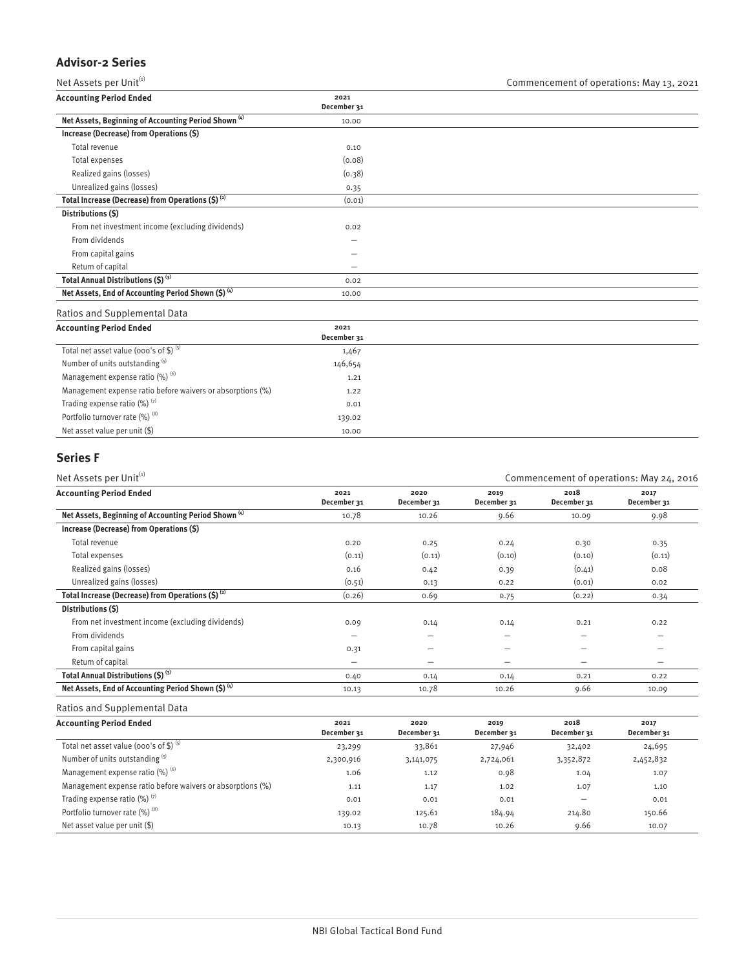## **Advisor-2 Series**

Net Assets per Unit $^{(i)}$  Commencement of operations: May 13, 2021

| <b>Accounting Period Ended</b>                                  | 2021                     |  |  |
|-----------------------------------------------------------------|--------------------------|--|--|
|                                                                 | December 31              |  |  |
| Net Assets, Beginning of Accounting Period Shown <sup>(4)</sup> | 10.00                    |  |  |
| Increase (Decrease) from Operations (\$)                        |                          |  |  |
| Total revenue                                                   | 0.10                     |  |  |
| Total expenses                                                  | (0.08)                   |  |  |
| Realized gains (losses)                                         | (0.38)                   |  |  |
| Unrealized gains (losses)                                       | 0.35                     |  |  |
| Total Increase (Decrease) from Operations $(S)$ <sup>(2)</sup>  | (0.01)                   |  |  |
| Distributions (\$)                                              |                          |  |  |
| From net investment income (excluding dividends)                | 0.02                     |  |  |
| From dividends                                                  | -                        |  |  |
| From capital gains                                              |                          |  |  |
| Return of capital                                               | $\overline{\phantom{0}}$ |  |  |
| Total Annual Distributions (\$) (3)                             | 0.02                     |  |  |
| Net Assets, End of Accounting Period Shown (\$) (4)             | 10.00                    |  |  |
|                                                                 |                          |  |  |

Ratios and Supplemental Data

| <b>Accounting Period Ended</b>                             | 2021<br>December 31 |  |
|------------------------------------------------------------|---------------------|--|
| Total net asset value (000's of \$) $(5)$                  | 1,467               |  |
| Number of units outstanding (5)                            | 146,654             |  |
| Management expense ratio $(\%)$ <sup>(6)</sup>             | 1.21                |  |
| Management expense ratio before waivers or absorptions (%) | 1.22                |  |
| Trading expense ratio $(\%)$ $^{(7)}$                      | 0.01                |  |
| Portfolio turnover rate (%) (8)                            | 139.02              |  |
| Net asset value per unit (\$)                              | 10.00               |  |

## **Series F**

| Net Assets per Unit <sup>(1)</sup><br>Commencement of operations: May 24, 2016 |                     |                     |                          |                     |                     |
|--------------------------------------------------------------------------------|---------------------|---------------------|--------------------------|---------------------|---------------------|
| <b>Accounting Period Ended</b>                                                 | 2021<br>December 31 | 2020<br>December 31 | 2019<br>December 31      | 2018<br>December 31 | 2017<br>December 31 |
| Net Assets, Beginning of Accounting Period Shown <sup>(4)</sup>                | 10.78               | 10.26               | 9.66                     | 10.09               | 9.98                |
| Increase (Decrease) from Operations (\$)                                       |                     |                     |                          |                     |                     |
| Total revenue                                                                  | 0.20                | 0.25                | 0.24                     | 0.30                | 0.35                |
| Total expenses                                                                 | (0.11)              | (0.11)              | (0.10)                   | (0.10)              | (0.11)              |
| Realized gains (losses)                                                        | 0.16                | 0.42                | 0.39                     | (0.41)              | 0.08                |
| Unrealized gains (losses)                                                      | (0.51)              | 0.13                | 0.22                     | (0.01)              | 0.02                |
| Total Increase (Decrease) from Operations $(5)^{(2)}$                          | (0.26)              | 0.69                | 0.75                     | (0.22)              | 0.34                |
| Distributions (\$)                                                             |                     |                     |                          |                     |                     |
| From net investment income (excluding dividends)                               | 0.09                | 0.14                | 0.14                     | 0.21                | 0.22                |
| From dividends                                                                 | -                   | -                   | -                        | -                   |                     |
| From capital gains                                                             | 0.31                | -                   | $\overline{\phantom{0}}$ | -                   | -                   |
| Return of capital                                                              | -                   | -                   | –                        | -                   |                     |
| Total Annual Distributions (\$) (3)                                            | 0.40                | 0.14                | 0.14                     | 0.21                | 0.22                |
| Net Assets, End of Accounting Period Shown (\$) (4)                            | 10.13               | 10.78               | 10.26                    | 9.66                | 10.09               |

| <b>Accounting Period Ended</b>                             | 2021<br>December 31 | 2020<br>December 31 | 2019<br>December 31 | 2018<br>December 31 | 2017<br>December 31 |
|------------------------------------------------------------|---------------------|---------------------|---------------------|---------------------|---------------------|
| Total net asset value (000's of \$) $(5)$                  | 23,299              | 33,861              | 27,946              | 32,402              | 24,695              |
| Number of units outstanding (5)                            | 2,300,916           | 3,141,075           | 2,724,061           | 3,352,872           | 2,452,832           |
| Management expense ratio (%) (6)                           | 1.06                | 1.12                | 0.98                | 1.04                | 1.07                |
| Management expense ratio before waivers or absorptions (%) | 1.11                | 1.17                | 1.02                | 1.07                | 1.10                |
| Trading expense ratio $(\%)$ <sup>(7)</sup>                | 0.01                | 0.01                | 0.01                |                     | 0.01                |
| Portfolio turnover rate (%) (8)                            | 139.02              | 125.61              | 184.94              | 214.80              | 150.66              |
| Net asset value per unit $(\$)$                            | 10.13               | 10.78               | 10.26               | 9.66                | 10.07               |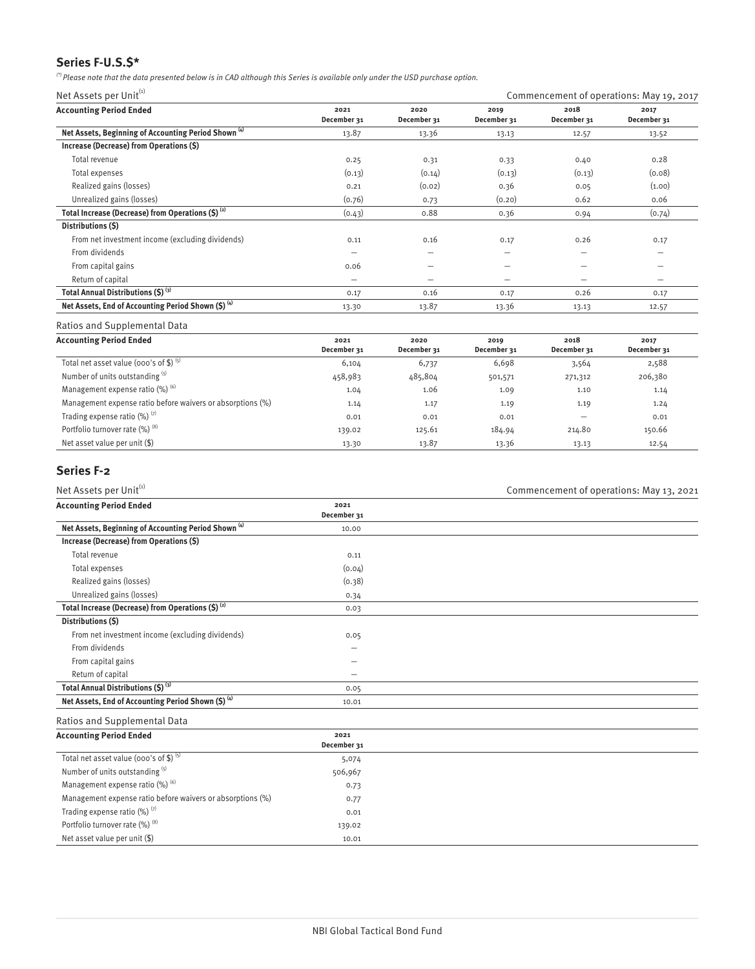## **Series F-U.S.\$\***

 $^{(')}$  Please note that the data presented below is in CAD although this Series is available only under the USD purchase option.

Net Assets per Unit $^{(i)}$  Commencement of operations: May 19, 2017

| <b>Accounting Period Ended</b>                                  | 2021<br>December 31      | 2020<br>December 31      | 2019<br>December 31                                                       | 2018<br>December 31 | 2017<br>December 31      |
|-----------------------------------------------------------------|--------------------------|--------------------------|---------------------------------------------------------------------------|---------------------|--------------------------|
| Net Assets, Beginning of Accounting Period Shown <sup>(4)</sup> | 13.87                    | 13.36                    | 13.13                                                                     | 12.57               | 13.52                    |
| Increase (Decrease) from Operations (\$)                        |                          |                          |                                                                           |                     |                          |
| Total revenue                                                   | 0.25                     | 0.31                     | 0.33                                                                      | 0.40                | 0.28                     |
| Total expenses                                                  | (0.13)                   | (0.14)                   | (0.13)                                                                    | (0.13)              | (0.08)                   |
| Realized gains (losses)                                         | 0.21                     | (0.02)                   | 0.36                                                                      | 0.05                | (1.00)                   |
| Unrealized gains (losses)                                       | (0.76)                   | 0.73                     | (0.20)                                                                    | 0.62                | 0.06                     |
| Total Increase (Decrease) from Operations $(S)$ <sup>(2)</sup>  | (0.43)                   | 0.88                     | 0.36                                                                      | 0.94                | (0.74)                   |
| Distributions (\$)                                              |                          |                          |                                                                           |                     |                          |
| From net investment income (excluding dividends)                | 0.11                     | 0.16                     | 0.17                                                                      | 0.26                | 0.17                     |
| From dividends                                                  | -                        | -                        | $\overline{\phantom{0}}$                                                  | -                   | $\overline{\phantom{0}}$ |
| From capital gains                                              | 0.06                     |                          |                                                                           |                     |                          |
| Return of capital                                               | $\overline{\phantom{0}}$ | $\overline{\phantom{0}}$ | $\hspace{1.0cm} \rule{1.5cm}{0.15cm} \hspace{1.0cm} \rule{1.5cm}{0.15cm}$ | —                   | $\overline{\phantom{0}}$ |
| Total Annual Distributions (\$) (3)                             | 0.17                     | 0.16                     | 0.17                                                                      | 0.26                | 0.17                     |
| Net Assets, End of Accounting Period Shown (\$) (4)             | 13.30                    | 13.87                    | 13.36                                                                     | 13.13               | 12.57                    |

#### Ratios and Supplemental Data

| <b>Accounting Period Ended</b>                             | 2021<br>December 31 | 2020<br>December 31 | 2019<br>December 31 | 2018<br>December 31 | 2017<br>December 31 |
|------------------------------------------------------------|---------------------|---------------------|---------------------|---------------------|---------------------|
| Total net asset value (000's of \$) $(5)$                  | 6,104               | 6,737               | 6,698               | 3,564               | 2,588               |
| Number of units outstanding (5)                            | 458,983             | 485,804             | 501,571             | 271,312             | 206,380             |
| Management expense ratio (%) (6)                           | 1.04                | 1.06                | 1.09                | 1.10                | 1.14                |
| Management expense ratio before waivers or absorptions (%) | 1.14                | 1.17                | 1.19                | 1.19                | 1.24                |
| Trading expense ratio $(\%)$ <sup>(7)</sup>                | 0.01                | 0.01                | 0.01                | –                   | 0.01                |
| Portfolio turnover rate (%) (8)                            | 139.02              | 125.61              | 184.94              | 214.80              | 150.66              |
| Net asset value per unit $(\$)$                            | 13.30               | 13.87               | 13.36               | 13.13               | 12.54               |

## **Series F-2**

| Net Assets per Unit(1)                                          |                     | Commencement of operations: May 13, 2021 |
|-----------------------------------------------------------------|---------------------|------------------------------------------|
| <b>Accounting Period Ended</b>                                  | 2021<br>December 31 |                                          |
| Net Assets, Beginning of Accounting Period Shown <sup>(4)</sup> | 10.00               |                                          |
| Increase (Decrease) from Operations (\$)                        |                     |                                          |
| Total revenue                                                   | 0.11                |                                          |
| Total expenses                                                  | (0.04)              |                                          |
| Realized gains (losses)                                         | (0.38)              |                                          |
| Unrealized gains (losses)                                       | 0.34                |                                          |
| Total Increase (Decrease) from Operations (\$) <sup>(2)</sup>   | 0.03                |                                          |
| Distributions (\$)                                              |                     |                                          |
| From net investment income (excluding dividends)                | 0.05                |                                          |
| From dividends                                                  |                     |                                          |
| From capital gains                                              |                     |                                          |
| Return of capital                                               |                     |                                          |
| Total Annual Distributions (\$) (3)                             | 0.05                |                                          |
| Net Assets, End of Accounting Period Shown (\$) (4)             | 10.01               |                                          |
| Ratios and Supplemental Data                                    |                     |                                          |
| <b>Accounting Period Ended</b>                                  | 2021                |                                          |
|                                                                 | December 31         |                                          |
| Total net asset value (000's of $$)^{(5)}$                      | 5,074               |                                          |
| Number of units outstanding (5)                                 | 506,967             |                                          |
| Management expense ratio (%) (6)                                | 0.73                |                                          |
| Management expense ratio before waivers or absorptions (%)      | 0.77                |                                          |
| Trading expense ratio (%) (7)                                   | 0.01                |                                          |
| Portfolio turnover rate (%) (8)                                 | 139.02              |                                          |
| Net asset value per unit (\$)                                   | 10.01               |                                          |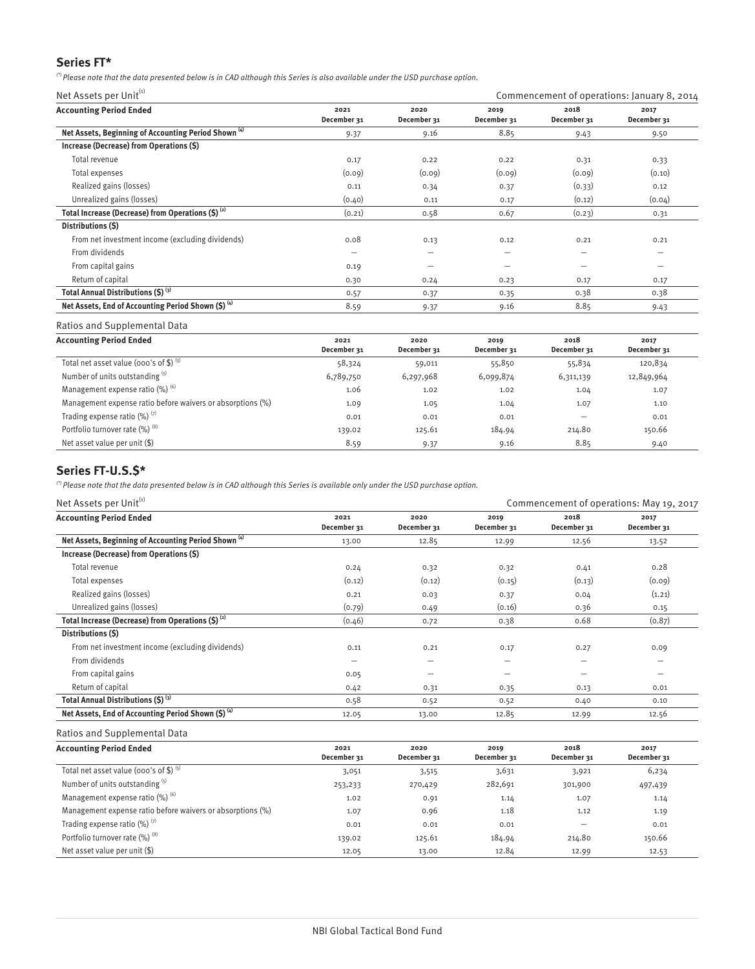## **Series FT\***

 $^{(2)}$  Please note that the data presented below is in CAD although this Series is also available under the USD purchase option.

Net Assets per Unit $^{(i)}$  Commencement of operations: January 8, 2014

| <b>Accounting Period Ended</b>                                  | 2021                     | 2020        | 2019            | 2018            | 2017        |
|-----------------------------------------------------------------|--------------------------|-------------|-----------------|-----------------|-------------|
|                                                                 | December 31              | December 31 | December 31     | December 31     | December 31 |
| Net Assets, Beginning of Accounting Period Shown <sup>(4)</sup> | 9.37                     | 9.16        | 8.85            | 9.43            | 9.50        |
| Increase (Decrease) from Operations (\$)                        |                          |             |                 |                 |             |
| Total revenue                                                   | 0.17                     | 0.22        | 0.22            | 0.31            | 0.33        |
| Total expenses                                                  | (0.09)                   | (0.09)      | (0.09)          | (0.09)          | (0.10)      |
| Realized gains (losses)                                         | 0.11                     | 0.34        | 0.37            | (0.33)          | 0.12        |
| Unrealized gains (losses)                                       | (0.40)                   | 0.11        | 0.17            | (0.12)          | (0.04)      |
| Total Increase (Decrease) from Operations $(S)$ <sup>(2)</sup>  | (0.21)                   | 0.58        | 0.67            | (0.23)          | 0.31        |
| Distributions (\$)                                              |                          |             |                 |                 |             |
| From net investment income (excluding dividends)                | 0.08                     | 0.13        | 0.12            | 0.21            | 0.21        |
| From dividends                                                  | $\overline{\phantom{m}}$ | -           | $\qquad \qquad$ | -               |             |
| From capital gains                                              | 0.19                     | -           | -               | $\qquad \qquad$ |             |
| Return of capital                                               | 0.30                     | 0.24        | 0.23            | 0.17            | 0.17        |
| Total Annual Distributions (\$) (3)                             | 0.57                     | 0.37        | 0.35            | 0.38            | 0.38        |
| Net Assets, End of Accounting Period Shown (\$) (4)             | 8.59                     | 9.37        | 9.16            | 8.85            | 9.43        |
|                                                                 |                          |             |                 |                 |             |

#### Ratios and Supplemental Data

| <b>Accounting Period Ended</b>                             | 2021<br>December 31 | 2020<br>December 31 | 2019<br>December 31 | 2018<br>December 31 | 2017<br>December 31 |
|------------------------------------------------------------|---------------------|---------------------|---------------------|---------------------|---------------------|
| Total net asset value (000's of \$) $(5)$                  | 58,324              | 59,011              | 55,850              | 55,834              | 120,834             |
| Number of units outstanding (5)                            | 6,789,750           | 6,297,968           | 6,099,874           | 6,311,139           | 12,849,964          |
| Management expense ratio $(\%)$ <sup>(6)</sup>             | 1.06                | 1.02                | 1.02                | 1.04                | 1.07                |
| Management expense ratio before waivers or absorptions (%) | 1.09                | 1.05                | 1.04                | 1.07                | 1.10                |
| Trading expense ratio $(\%)$ <sup>(7)</sup>                | 0.01                | 0.01                | 0.01                | -                   | 0.01                |
| Portfolio turnover rate (%) (8)                            | 139.02              | 125.61              | 184.94              | 214.80              | 150.66              |
| Net asset value per unit (\$)                              | 8.59                | 9.37                | 9.16                | 8.85                | 9.40                |

## **Series FT-U.S.\$\***

 $^{(')}$  Please note that the data presented below is in CAD although this Series is available only under the USD purchase option.

| Net Assets per Unit <sup>(1)</sup>                              |                     |                     | Commencement of operations: May 19, 2017 |                     |                          |  |
|-----------------------------------------------------------------|---------------------|---------------------|------------------------------------------|---------------------|--------------------------|--|
| <b>Accounting Period Ended</b>                                  | 2021<br>December 31 | 2020<br>December 31 | 2019<br>December 31                      | 2018<br>December 31 | 2017<br>December 31      |  |
| Net Assets, Beginning of Accounting Period Shown <sup>(4)</sup> | 13.00               | 12.85               | 12.99                                    | 12.56               | 13.52                    |  |
| Increase (Decrease) from Operations (\$)                        |                     |                     |                                          |                     |                          |  |
| Total revenue                                                   | 0.24                | 0.32                | 0.32                                     | 0.41                | 0.28                     |  |
| Total expenses                                                  | (0.12)              | (0.12)              | (0.15)                                   | (0.13)              | (0.09)                   |  |
| Realized gains (losses)                                         | 0.21                | 0.03                | 0.37                                     | 0.04                | (1.21)                   |  |
| Unrealized gains (losses)                                       | (0.79)              | 0.49                | (0.16)                                   | 0.36                | 0.15                     |  |
| Total Increase (Decrease) from Operations $(5)^{(2)}$           | (0.46)              | 0.72                | 0.38                                     | 0.68                | (0.87)                   |  |
| Distributions (S)                                               |                     |                     |                                          |                     |                          |  |
| From net investment income (excluding dividends)                | 0.11                | 0.21                | 0.17                                     | 0.27                | 0.09                     |  |
| From dividends                                                  | -                   | -                   | -                                        | -                   | $\overline{\phantom{m}}$ |  |
| From capital gains                                              | 0.05                |                     |                                          |                     |                          |  |
| Return of capital                                               | 0.42                | 0.31                | 0.35                                     | 0.13                | 0.01                     |  |
| Total Annual Distributions (\$) (3)                             | 0.58                | 0.52                | 0.52                                     | 0.40                | 0.10                     |  |
| Net Assets, End of Accounting Period Shown (\$) (4)             | 12.05               | 13.00               | 12.85                                    | 12.99               | 12.56                    |  |

| <b>Accounting Period Ended</b>                             | 2021        | 2020        | 2019        | 2018        | 2017        |
|------------------------------------------------------------|-------------|-------------|-------------|-------------|-------------|
|                                                            | December 31 | December 31 | December 31 | December 31 | December 31 |
| Total net asset value (000's of \$) $(5)$                  | 3,051       | 3,515       | 3,631       | 3,921       | 6,234       |
| Number of units outstanding (5)                            | 253,233     | 270,429     | 282,691     | 301,900     | 497,439     |
| Management expense ratio $(\%)$ <sup>(6)</sup>             | 1.02        | 0.91        | 1.14        | 1.07        | 1.14        |
| Management expense ratio before waivers or absorptions (%) | 1.07        | 0.96        | 1.18        | 1.12        | 1.19        |
| Trading expense ratio $(\%)$ <sup>(7)</sup>                | 0.01        | 0.01        | 0.01        |             | 0.01        |
| Portfolio turnover rate (%) (8)                            | 139.02      | 125.61      | 184.94      | 214.80      | 150.66      |
| Net asset value per unit $(\$)$                            | 12.05       | 13.00       | 12.84       | 12.99       | 12.53       |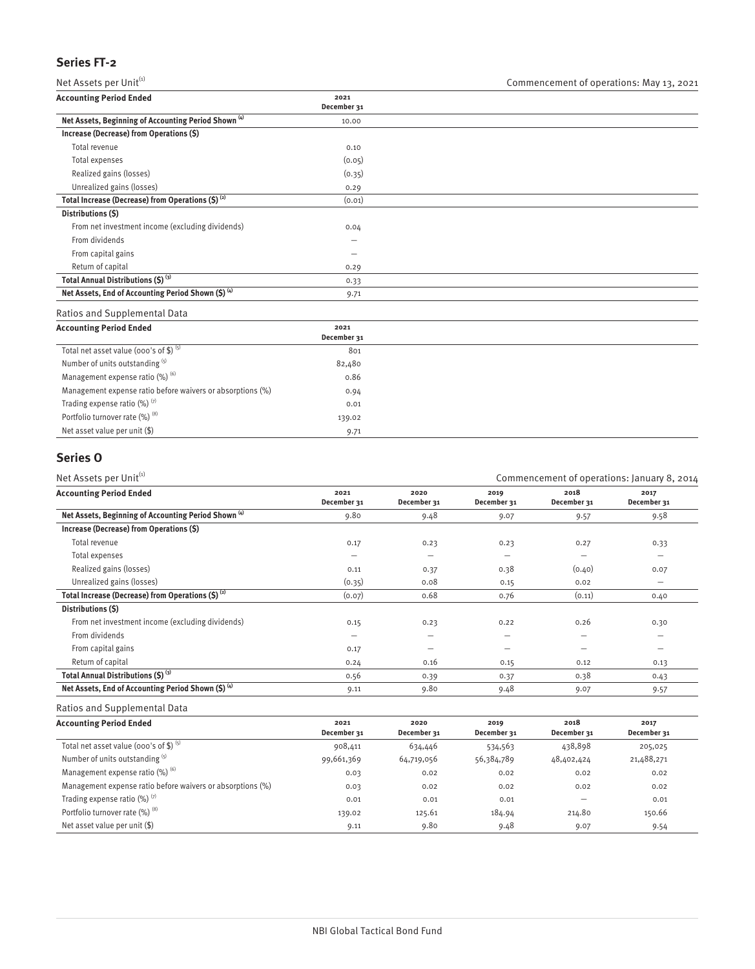## **Series FT-2**

| Net Assets per Unit <sup>(1)</sup>                              |                     | Commencement of operations: May 13, 2021 |
|-----------------------------------------------------------------|---------------------|------------------------------------------|
| <b>Accounting Period Ended</b>                                  | 2021<br>December 31 |                                          |
| Net Assets, Beginning of Accounting Period Shown <sup>(4)</sup> | 10.00               |                                          |
| Increase (Decrease) from Operations (\$)                        |                     |                                          |
| Total revenue                                                   | 0.10                |                                          |
| Total expenses                                                  | (0.05)              |                                          |
| Realized gains (losses)                                         | (0.35)              |                                          |
| Unrealized gains (losses)                                       | 0.29                |                                          |
| Total Increase (Decrease) from Operations $(5)^{(2)}$           | (0.01)              |                                          |
| Distributions (\$)                                              |                     |                                          |
| From net investment income (excluding dividends)                | 0.04                |                                          |
| From dividends                                                  | -                   |                                          |
| From capital gains                                              | -                   |                                          |
| Return of capital                                               | 0.29                |                                          |
| Total Annual Distributions (\$) (3)                             | 0.33                |                                          |
| Net Assets, End of Accounting Period Shown $(S)$ <sup>(4)</sup> | 9.71                |                                          |

Ratios and Supplemental Data

| <b>Accounting Period Ended</b>                             | 2021<br>December 31 |  |
|------------------------------------------------------------|---------------------|--|
| Total net asset value (000's of \$) $(5)$                  | 801                 |  |
| Number of units outstanding (5)                            | 82,480              |  |
| Management expense ratio $(\%)$ <sup>(6)</sup>             | 0.86                |  |
| Management expense ratio before waivers or absorptions (%) | 0.94                |  |
| Trading expense ratio $(\%)$ <sup>(7)</sup>                | 0.01                |  |
| Portfolio turnover rate (%) (8)                            | 139.02              |  |
| Net asset value per unit (\$)                              | 9.71                |  |

## **Series O**

| Net Assets per Unit <sup>(1)</sup>                              |                     |                     | Commencement of operations: January 8, 2014                               |                          |                          |  |
|-----------------------------------------------------------------|---------------------|---------------------|---------------------------------------------------------------------------|--------------------------|--------------------------|--|
| <b>Accounting Period Ended</b>                                  | 2021<br>December 31 | 2020<br>December 31 | 2019<br>December 31                                                       | 2018<br>December 31      | 2017<br>December 31      |  |
| Net Assets, Beginning of Accounting Period Shown <sup>(4)</sup> | 9.80                | 9.48                | 9.07                                                                      | 9.57                     | 9.58                     |  |
| Increase (Decrease) from Operations (\$)                        |                     |                     |                                                                           |                          |                          |  |
| Total revenue                                                   | 0.17                | 0.23                | 0.23                                                                      | 0.27                     | 0.33                     |  |
| Total expenses                                                  | -                   | -                   | $\hspace{1.0cm} \rule{1.5cm}{0.15cm} \hspace{1.0cm} \rule{1.5cm}{0.15cm}$ | $\overline{\phantom{0}}$ | $\overline{\phantom{m}}$ |  |
| Realized gains (losses)                                         | 0.11                | 0.37                | 0.38                                                                      | (0.40)                   | 0.07                     |  |
| Unrealized gains (losses)                                       | (0.35)              | 0.08                | 0.15                                                                      | 0.02                     | $\overline{\phantom{0}}$ |  |
| Total Increase (Decrease) from Operations $(S)$ <sup>(2)</sup>  | (0.07)              | 0.68                | 0.76                                                                      | (0.11)                   | 0.40                     |  |
| Distributions (\$)                                              |                     |                     |                                                                           |                          |                          |  |
| From net investment income (excluding dividends)                | 0.15                | 0.23                | 0.22                                                                      | 0.26                     | 0.30                     |  |
| From dividends                                                  |                     |                     |                                                                           |                          | -                        |  |
| From capital gains                                              | 0.17                |                     | -                                                                         | –                        | -                        |  |
| Return of capital                                               | 0.24                | 0.16                | 0.15                                                                      | 0.12                     | 0.13                     |  |
| Total Annual Distributions (\$) (3)                             | 0.56                | 0.39                | 0.37                                                                      | 0.38                     | 0.43                     |  |
| Net Assets, End of Accounting Period Shown (\$) (4)             | 9.11                | 9.80                | 9.48                                                                      | 9.07                     | 9.57                     |  |
|                                                                 |                     |                     |                                                                           |                          |                          |  |

| <b>Accounting Period Ended</b>                             | 2021<br>December 31 | 2020<br>December 31 | 2019<br>December 31 | 2018<br>December 31 | 2017<br>December 31 |
|------------------------------------------------------------|---------------------|---------------------|---------------------|---------------------|---------------------|
| Total net asset value (000's of \$) $(5)$                  | 908,411             | 634,446             | 534,563             | 438,898             | 205,025             |
| Number of units outstanding (5)                            | 99,661,369          | 64,719,056          | 56,384,789          | 48,402,424          | 21,488,271          |
| Management expense ratio $(\%)$ <sup>(6)</sup>             | 0.03                | 0.02                | 0.02                | 0.02                | 0.02                |
| Management expense ratio before waivers or absorptions (%) | 0.03                | 0.02                | 0.02                | 0.02                | 0.02                |
| Trading expense ratio $(\%)$ <sup>(7)</sup>                | 0.01                | 0.01                | 0.01                |                     | 0.01                |
| Portfolio turnover rate (%) (8)                            | 139.02              | 125.61              | 184.94              | 214.80              | 150.66              |
| Net asset value per unit $(\$)$                            | 9.11                | 9.80                | 9.48                | 9.07                | 9.54                |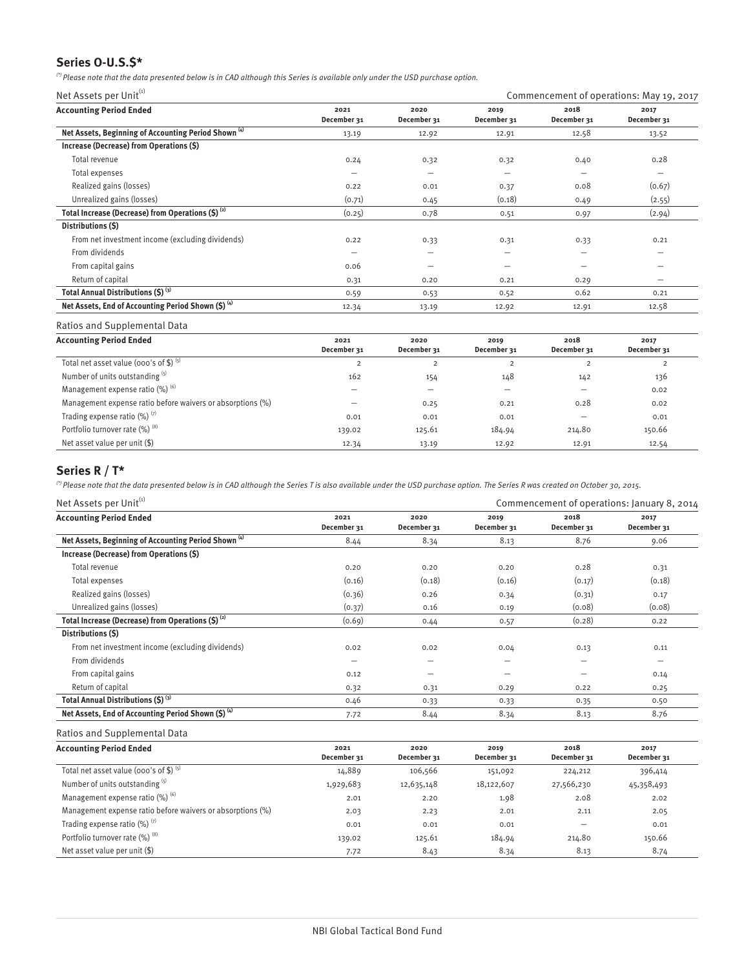## **Series O-U.S.\$\***

 $^{(2)}$  Please note that the data presented below is in CAD although this Series is available only under the USD purchase option.

Net Assets per Unit $^{(i)}$  Commencement of operations: May 19, 2017

| <b>Accounting Period Ended</b>                                  | 2021<br>December 31      | 2020<br>December 31      | 2019<br>December 31 | 2018<br>December 31 | 2017<br>December 31      |
|-----------------------------------------------------------------|--------------------------|--------------------------|---------------------|---------------------|--------------------------|
| Net Assets, Beginning of Accounting Period Shown <sup>(4)</sup> | 13.19                    | 12.92                    | 12.91               | 12.58               | 13.52                    |
| Increase (Decrease) from Operations (\$)                        |                          |                          |                     |                     |                          |
| Total revenue                                                   | 0.24                     | 0.32                     | 0.32                | 0.40                | 0.28                     |
| Total expenses                                                  | $\overline{\phantom{m}}$ | $\overline{\phantom{0}}$ | $\qquad \qquad$     | -                   | -                        |
| Realized gains (losses)                                         | 0.22                     | 0.01                     | 0.37                | 0.08                | (0.67)                   |
| Unrealized gains (losses)                                       | (0.71)                   | 0.45                     | (0.18)              | 0.49                | (2.55)                   |
| Total Increase (Decrease) from Operations $(S)$ <sup>(2)</sup>  | (0.25)                   | 0.78                     | 0.51                | 0.97                | (2.94)                   |
| Distributions (\$)                                              |                          |                          |                     |                     |                          |
| From net investment income (excluding dividends)                | 0.22                     | 0.33                     | 0.31                | 0.33                | 0.21                     |
| From dividends                                                  | $\overline{\phantom{0}}$ | -                        | -                   | -                   | -                        |
| From capital gains                                              | 0.06                     | $\overline{\phantom{0}}$ | $\qquad \qquad$     | -                   | -                        |
| Return of capital                                               | 0.31                     | 0.20                     | 0.21                | 0.29                | $\overline{\phantom{0}}$ |
| Total Annual Distributions (\$) (3)                             | 0.59                     | 0.53                     | 0.52                | 0.62                | 0.21                     |
| Net Assets, End of Accounting Period Shown (\$) (4)             | 12.34                    | 13.19                    | 12.92               | 12.91               | 12.58                    |

#### Ratios and Supplemental Data

| <b>Accounting Period Ended</b>                             | 2021<br>December 31 | 2020<br>December 31 | 2019<br>December 31 | 2018<br>December 31 | 2017<br>December 31 |
|------------------------------------------------------------|---------------------|---------------------|---------------------|---------------------|---------------------|
| Total net asset value (000's of \$) $(5)$                  | 2                   |                     |                     |                     |                     |
| Number of units outstanding (5)                            | 162                 | 154                 | 148                 | 142                 | 136                 |
| Management expense ratio (%) (6)                           |                     |                     | -                   |                     | 0.02                |
| Management expense ratio before waivers or absorptions (%) | -                   | 0.25                | 0.21                | 0.28                | 0.02                |
| Trading expense ratio $(\%)$ <sup>(7)</sup>                | 0.01                | 0.01                | 0.01                |                     | 0.01                |
| Portfolio turnover rate (%) (8)                            | 139.02              | 125.61              | 184.94              | 214.80              | 150.66              |
| Net asset value per unit $(\$)$                            | 12.34               | 13.19               | 12.92               | 12.91               | 12.54               |

## **Series R / T\***

 $^{(')}$  Please note that the data presented below is in CAD although the Series T is also available under the USD purchase option. The Series R was created on October 30, 2015.

| Net Assets per Unit <sup>(1)</sup>                              |                          |                          | Commencement of operations: January 8, 2014 |                     |                          |
|-----------------------------------------------------------------|--------------------------|--------------------------|---------------------------------------------|---------------------|--------------------------|
| <b>Accounting Period Ended</b>                                  | 2021<br>December 31      | 2020<br>December 31      | 2019<br>December 31                         | 2018<br>December 31 | 2017<br>December 31      |
| Net Assets, Beginning of Accounting Period Shown <sup>(4)</sup> | 8.44                     | 8.34                     | 8.13                                        | 8.76                | 9.06                     |
| Increase (Decrease) from Operations (\$)                        |                          |                          |                                             |                     |                          |
| Total revenue                                                   | 0.20                     | 0.20                     | 0.20                                        | 0.28                | 0.31                     |
| Total expenses                                                  | (0.16)                   | (0.18)                   | (0.16)                                      | (0.17)              | (0.18)                   |
| Realized gains (losses)                                         | (0.36)                   | 0.26                     | 0.34                                        | (0.31)              | 0.17                     |
| Unrealized gains (losses)                                       | (0.37)                   | 0.16                     | 0.19                                        | (0.08)              | (0.08)                   |
| Total Increase (Decrease) from Operations $(5)^{(2)}$           | (0.69)                   | 0.44                     | 0.57                                        | (0.28)              | 0.22                     |
| Distributions (S)                                               |                          |                          |                                             |                     |                          |
| From net investment income (excluding dividends)                | 0.02                     | 0.02                     | 0.04                                        | 0.13                | 0.11                     |
| From dividends                                                  | $\overline{\phantom{0}}$ | $\overline{\phantom{0}}$ | -                                           | -                   | $\overline{\phantom{0}}$ |
| From capital gains                                              | 0.12                     | -                        | -                                           | –                   | 0.14                     |
| Return of capital                                               | 0.32                     | 0.31                     | 0.29                                        | 0.22                | 0.25                     |
| Total Annual Distributions (\$) (3)                             | 0.46                     | 0.33                     | 0.33                                        | 0.35                | 0.50                     |
| Net Assets, End of Accounting Period Shown $(5)^{(4)}$          | 7.72                     | 8.44                     | 8.34                                        | 8.13                | 8.76                     |

| <b>Accounting Period Ended</b>                             | 2021<br>December 31 | 2020<br>December 31 | 2019<br>December 31 | 2018<br>December 31 | 2017<br>December 31 |
|------------------------------------------------------------|---------------------|---------------------|---------------------|---------------------|---------------------|
| Total net asset value (000's of \$) $(5)$                  | 14,889              | 106,566             | 151,092             | 224,212             | 396,414             |
| Number of units outstanding (5)                            | 1,929,683           | 12,635,148          | 18,122,607          | 27,566,230          | 45,358,493          |
| Management expense ratio $(\%)$ <sup>(6)</sup>             | 2.01                | 2.20                | 1.98                | 2.08                | 2.02                |
| Management expense ratio before waivers or absorptions (%) | 2.03                | 2.23                | 2.01                | 2.11                | 2.05                |
| Trading expense ratio $(\%)$ <sup>(7)</sup>                | 0.01                | 0.01                | 0.01                | -                   | 0.01                |
| Portfolio turnover rate (%) (8)                            | 139.02              | 125.61              | 184.94              | 214.80              | 150.66              |
| Net asset value per unit (\$)                              | 7.72                | 8.43                | 8.34                | 8.13                | 8.74                |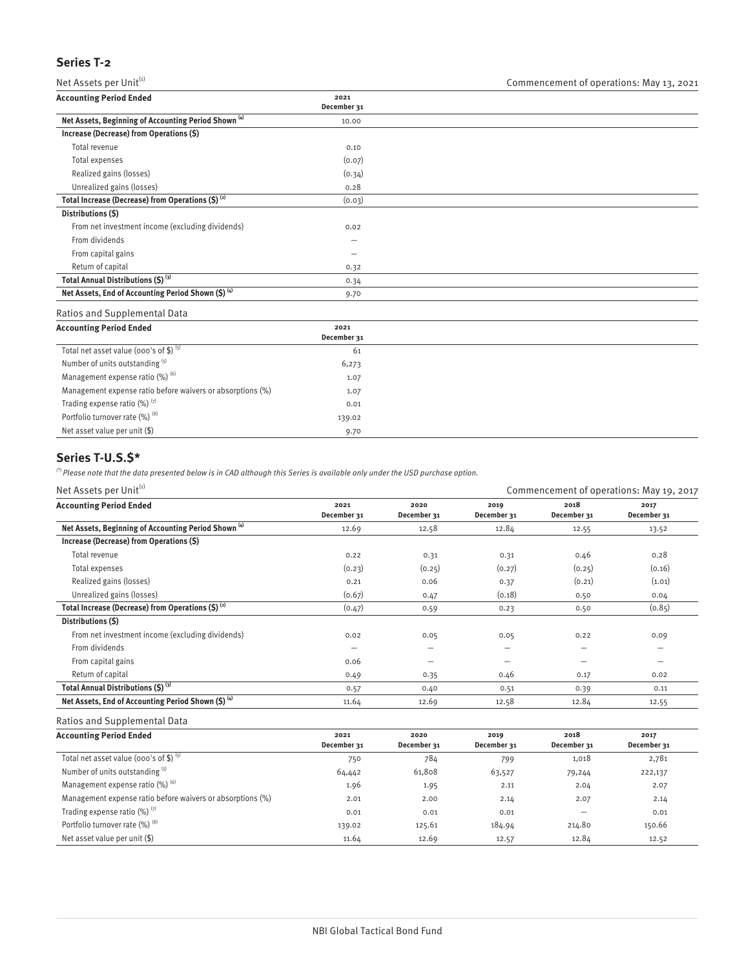## **Series T-2**

Net Assets per Unit<sup>(1)</sup>  $\blacksquare$  Commencement of operations: May 13, 2021

| .                                                               |                          | $\sim$ |
|-----------------------------------------------------------------|--------------------------|--------|
| <b>Accounting Period Ended</b>                                  | 2021<br>December 31      |        |
| Net Assets, Beginning of Accounting Period Shown <sup>(4)</sup> | 10.00                    |        |
| Increase (Decrease) from Operations (\$)                        |                          |        |
| Total revenue                                                   | 0.10                     |        |
| Total expenses                                                  | (0.07)                   |        |
| Realized gains (losses)                                         | (0.34)                   |        |
| Unrealized gains (losses)                                       | 0.28                     |        |
| Total Increase (Decrease) from Operations $(S)$ <sup>(2)</sup>  | (0.03)                   |        |
| Distributions (\$)                                              |                          |        |
| From net investment income (excluding dividends)                | 0.02                     |        |
| From dividends                                                  | $\overline{\phantom{0}}$ |        |
| From capital gains                                              |                          |        |
| Return of capital                                               | 0.32                     |        |
| Total Annual Distributions (\$) (3)                             | 0.34                     |        |
| Net Assets, End of Accounting Period Shown (\$) (4)             | 9.70                     |        |
|                                                                 |                          |        |

Ratios and Supplemental Data

| <b>Accounting Period Ended</b>                             | 2021<br>December 31 |  |
|------------------------------------------------------------|---------------------|--|
| Total net asset value (000's of \$) $(5)$                  | 61                  |  |
| Number of units outstanding (5)                            | 6,273               |  |
| Management expense ratio $(\%)$ <sup>(6)</sup>             | 1.07                |  |
| Management expense ratio before waivers or absorptions (%) | 1.07                |  |
| Trading expense ratio $(\%)$ <sup>(7)</sup>                | 0.01                |  |
| Portfolio turnover rate (%) (8)                            | 139.02              |  |
| Net asset value per unit (\$)                              | 9.70                |  |

## **Series T-U.S.\$\***

 $'$ <sup>)</sup> Please note that the data presented below is in CAD although this Series is available only under the USD purchase option.

| Net Assets per Unit <sup>(1)</sup>                              |                     |                          | Commencement of operations: May 19, 2017 |                          |                          |  |
|-----------------------------------------------------------------|---------------------|--------------------------|------------------------------------------|--------------------------|--------------------------|--|
| <b>Accounting Period Ended</b>                                  | 2021<br>December 31 | 2020<br>December 31      | 2019<br>December 31                      | 2018<br>December 31      | 2017<br>December 31      |  |
| Net Assets, Beginning of Accounting Period Shown <sup>(4)</sup> | 12.69               | 12.58                    | 12.84                                    | 12.55                    | 13.52                    |  |
| Increase (Decrease) from Operations (\$)                        |                     |                          |                                          |                          |                          |  |
| Total revenue                                                   | 0.22                | 0.31                     | 0.31                                     | 0.46                     | 0.28                     |  |
| Total expenses                                                  | (0.23)              | (0.25)                   | (0.27)                                   | (0.25)                   | (0.16)                   |  |
| Realized gains (losses)                                         | 0.21                | 0.06                     | 0.37                                     | (0.21)                   | (1.01)                   |  |
| Unrealized gains (losses)                                       | (0.67)              | 0.47                     | (0.18)                                   | 0.50                     | 0.04                     |  |
| Total Increase (Decrease) from Operations (\$) <sup>(2)</sup>   | (0.47)              | 0.59                     | 0.23                                     | 0.50                     | (0.85)                   |  |
| Distributions (S)                                               |                     |                          |                                          |                          |                          |  |
| From net investment income (excluding dividends)                | 0.02                | 0.05                     | 0.05                                     | 0.22                     | 0.09                     |  |
| From dividends                                                  | -                   | $\overline{\phantom{0}}$ | -                                        | $\overline{\phantom{0}}$ | -                        |  |
| From capital gains                                              | 0.06                | -                        | -                                        | -                        | $\overline{\phantom{0}}$ |  |
| Return of capital                                               | 0.49                | 0.35                     | 0.46                                     | 0.17                     | 0.02                     |  |
| Total Annual Distributions (\$) (3)                             | 0.57                | 0.40                     | 0.51                                     | 0.39                     | 0.11                     |  |
| Net Assets, End of Accounting Period Shown (\$) (4)             | 11.64               | 12.69                    | 12.58                                    | 12.84                    | 12.55                    |  |

| <b>Accounting Period Ended</b>                             | 2021<br>December 31 | 2020<br>December 31 | 2019<br>December 31 | 2018<br>December 31 | 2017<br>December 31 |
|------------------------------------------------------------|---------------------|---------------------|---------------------|---------------------|---------------------|
| Total net asset value (000's of \$) $(5)$                  | 750                 | 784                 | 799                 | 1,018               | 2,781               |
| Number of units outstanding (5)                            | 64,442              | 61,808              | 63,527              | 79,244              | 222,137             |
| Management expense ratio $(\%)$ <sup>(6)</sup>             | 1.96                | 1.95                | 2.11                | 2.04                | 2.07                |
| Management expense ratio before waivers or absorptions (%) | 2.01                | 2.00                | 2.14                | 2.07                | 2.14                |
| Trading expense ratio $(\%)$ <sup>(7)</sup>                | 0.01                | 0.01                | 0.01                |                     | 0.01                |
| Portfolio turnover rate (%) <sup>(8)</sup>                 | 139.02              | 125.61              | 184.94              | 214.80              | 150.66              |
| Net asset value per unit $(\$)$                            | 11.64               | 12.69               | 12.57               | 12.84               | 12.52               |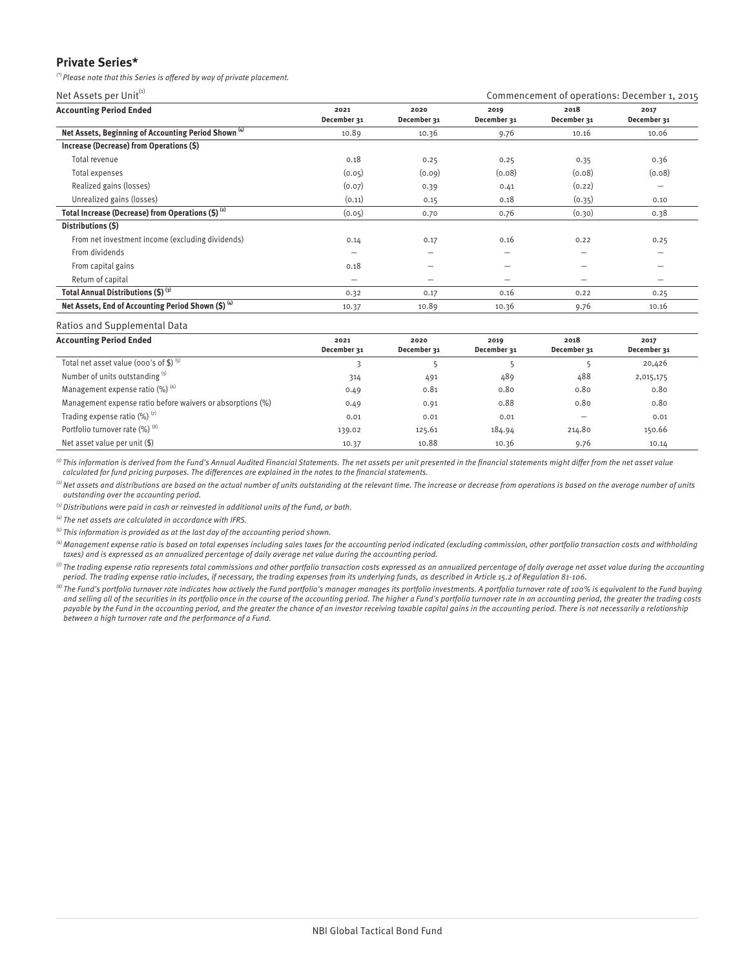## **Private Series\***

(\*) Please note that this Series is offered by way of private placement.

Net Assets per Unit<sup>(1)</sup> Net Assets per Unit<sup>(1)</sup> Commencement of operations: December 1, 2015

| <b>Accounting Period Ended</b>                                  | 2021<br>December 31 | 2020<br>December 31 | 2019<br>December 31 | 2018<br>December 31 | 2017<br>December 31      |
|-----------------------------------------------------------------|---------------------|---------------------|---------------------|---------------------|--------------------------|
| Net Assets, Beginning of Accounting Period Shown <sup>(4)</sup> | 10.89               | 10.36               | 9.76                | 10.16               | 10.06                    |
| Increase (Decrease) from Operations (\$)                        |                     |                     |                     |                     |                          |
| Total revenue                                                   | 0.18                | 0.25                | 0.25                | 0.35                | 0.36                     |
| Total expenses                                                  | (0.05)              | (0.09)              | (0.08)              | (0.08)              | (0.08)                   |
| Realized gains (losses)                                         | (0.07)              | 0.39                | 0.41                | (0.22)              | $\overline{\phantom{0}}$ |
| Unrealized gains (losses)                                       | (0.11)              | 0.15                | 0.18                | (0.35)              | 0.10                     |
| Total Increase (Decrease) from Operations $(S)$ <sup>(2)</sup>  | (0.05)              | 0.70                | 0.76                | (0.30)              | 0.38                     |
| Distributions (S)                                               |                     |                     |                     |                     |                          |
| From net investment income (excluding dividends)                | 0.14                | 0.17                | 0.16                | 0.22                | 0.25                     |
| From dividends                                                  | -                   |                     | -                   | -                   | $\overline{\phantom{0}}$ |
| From capital gains                                              | 0.18                | -                   | -                   | -                   | -                        |
| Return of capital                                               | -                   | -                   | -                   | -                   | -                        |
| Total Annual Distributions (\$) (3)                             | 0.32                | 0.17                | 0.16                | 0.22                | 0.25                     |
| Net Assets, End of Accounting Period Shown (\$) (4)             | 10.37               | 10.89               | 10.36               | 9.76                | 10.16                    |

#### Ratios and Supplemental Data

| <b>Accounting Period Ended</b>                             | 2021<br>December 31 | 2020<br>December 31 | 2019<br>December 31 | 2018<br>December 31 | 2017<br>December 31 |
|------------------------------------------------------------|---------------------|---------------------|---------------------|---------------------|---------------------|
| Total net asset value (000's of \$) $(5)$                  |                     |                     |                     |                     | 20,426              |
| Number of units outstanding (5)                            | 314                 | 491                 | 489                 | 488                 | 2,015,175           |
| Management expense ratio (%) (6)                           | 0.49                | 0.81                | 0.80                | 0.80                | 0.80                |
| Management expense ratio before waivers or absorptions (%) | 0.49                | 0.91                | 0.88                | 0.80                | 0.80                |
| Trading expense ratio $(\%)$ <sup>(7)</sup>                | 0.01                | 0.01                | 0.01                |                     | 0.01                |
| Portfolio turnover rate (%) (8)                            | 139.02              | 125.61              | 184.94              | 214.80              | 150.66              |
| Net asset value per unit $(\$)$                            | 10.37               | 10.88               | 10.36               | 9.76                | 10.14               |

 $\,^{(i)}$  This information is derived from the Fund's Annual Audited Financial Statements. The net assets per unit presented in the financial statements might differ from the net asset value calculated for fund pricing purposes. The differences are explained in the notes to the financial statements.

 $^{(2)}$  Net assets and distributions are based on the actual number of units outstanding at the relevant time. The increase or decrease from operations is based on the average number of units outstanding over the accounting period.

 $^{(3)}$  Distributions were paid in cash or reinvested in additional units of the Fund, or both.

 $\overset{\text{\tiny{(4)}}}{ }$  The net assets are calculated in accordance with IFRS.

 $<sup>(5)</sup>$  This information is provided as at the last day of the accounting period shown.</sup>

 $^{(6)}$  Management expense ratio is based on total expenses including sales taxes for the accounting period indicated (excluding commission, other portfolio transaction costs and withholding taxes) and is expressed as an annualized percentage of daily average net value during the accounting period.

 $^{\text{\tiny{(7)}}}$ The trading expense ratio represents total commissions and other portfolio transaction costs expressed as an annualized percentage of daily average net asset value during the accounting period. The trading expense ratio includes, if necessary, the trading expenses from its underlying funds, as described in Article 15.2 of Regulation 81-106.

 $^{(8)}$  The Fund's portfolio turnover rate indicates how actively the Fund portfolio's manager manages its portfolio investments. A portfolio turnover rate of 100% is equivalent to the Fund buying and selling all of the securities in its portfolio once in the course of the accounting period. The higher a Fund's portfolio turnover rate in an accounting period, the greater the trading costs<br>payable by the Fund in the